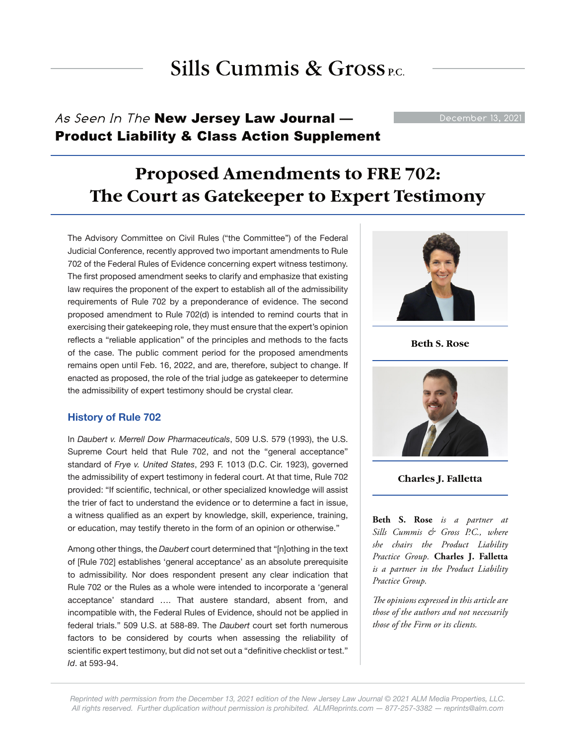# Sills Cummis &  $Gross_{PC}$

### As Seen In The New Jersey Law Journal — December 13, 2021 Product Liability & Class Action Supplement

## **Proposed Amendments to FRE 702: The Court as Gatekeeper to Expert Testimony**

The Advisory Committee on Civil Rules ("the Committee") of the Federal Judicial Conference, recently approved two important amendments to Rule 702 of the Federal Rules of Evidence concerning expert witness testimony. The first proposed amendment seeks to clarify and emphasize that existing law requires the proponent of the expert to establish all of the admissibility requirements of Rule 702 by a preponderance of evidence. The second proposed amendment to Rule 702(d) is intended to remind courts that in exercising their gatekeeping role, they must ensure that the expert's opinion reflects a "reliable application" of the principles and methods to the facts of the case. The public comment period for the proposed amendments remains open until Feb. 16, 2022, and are, therefore, subject to change. If enacted as proposed, the role of the trial judge as gatekeeper to determine the admissibility of expert testimony should be crystal clear.

#### **History of Rule 702**

In *Daubert v. Merrell Dow Pharmaceuticals*, 509 U.S. 579 (1993), the U.S. Supreme Court held that Rule 702, and not the "general acceptance" standard of *Frye v. United States*, 293 F. 1013 (D.C. Cir. 1923), governed the admissibility of expert testimony in federal court. At that time, Rule 702 provided: "If scientific, technical, or other specialized knowledge will assist the trier of fact to understand the evidence or to determine a fact in issue, a witness qualified as an expert by knowledge, skill, experience, training, or education, may testify thereto in the form of an opinion or otherwise."

Among other things, the *Daubert* court determined that "[n]othing in the text of [Rule 702] establishes 'general acceptance' as an absolute prerequisite to admissibility. Nor does respondent present any clear indication that Rule 702 or the Rules as a whole were intended to incorporate a 'general acceptance' standard …. That austere standard, absent from, and incompatible with, the Federal Rules of Evidence, should not be applied in federal trials." 509 U.S. at 588-89. The *Daubert* court set forth numerous factors to be considered by courts when assessing the reliability of scientific expert testimony, but did not set out a "definitive checklist or test." *Id*. at 593-94.



**Beth S. Rose**



#### **Charles J. Falletta**

**Beth S. Rose** *is a partner at Sills Cummis & Gross P.C., where she chairs the Product Liability Practice Group.* **Charles J. Falletta**  *is a partner in the Product Liability Practice Group.*

*The opinions expressed in this article are those of the authors and not necessarily those of the Firm or its clients.*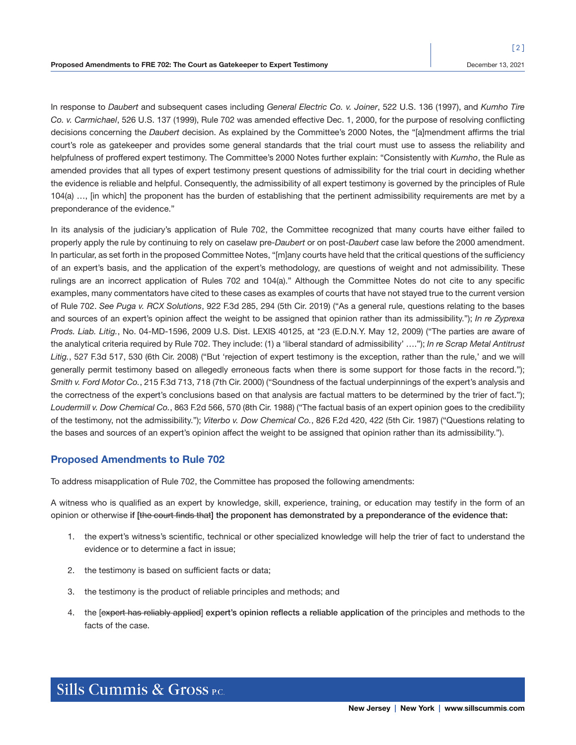In response to *Daubert* and subsequent cases including *General Electric Co. v. Joiner*, 522 U.S. 136 (1997), and *Kumho Tire Co. v. Carmichael*, 526 U.S. 137 (1999), Rule 702 was amended effective Dec. 1, 2000, for the purpose of resolving conflicting decisions concerning the *Daubert* decision. As explained by the Committee's 2000 Notes, the "[a]mendment affirms the trial court's role as gatekeeper and provides some general standards that the trial court must use to assess the reliability and helpfulness of proffered expert testimony. The Committee's 2000 Notes further explain: "Consistently with *Kumho*, the Rule as amended provides that all types of expert testimony present questions of admissibility for the trial court in deciding whether the evidence is reliable and helpful. Consequently, the admissibility of all expert testimony is governed by the principles of Rule 104(a) …, [in which] the proponent has the burden of establishing that the pertinent admissibility requirements are met by a preponderance of the evidence."

In its analysis of the judiciary's application of Rule 702, the Committee recognized that many courts have either failed to properly apply the rule by continuing to rely on caselaw pre-*Daubert* or on post-*Daubert* case law before the 2000 amendment. In particular, as set forth in the proposed Committee Notes, "[m]any courts have held that the critical questions of the sufficiency of an expert's basis, and the application of the expert's methodology, are questions of weight and not admissibility. These rulings are an incorrect application of Rules 702 and 104(a)." Although the Committee Notes do not cite to any specific examples, many commentators have cited to these cases as examples of courts that have not stayed true to the current version of Rule 702. *See Puga v. RCX Solutions*, 922 F.3d 285, 294 (5th Cir. 2019) ("As a general rule, questions relating to the bases and sources of an expert's opinion affect the weight to be assigned that opinion rather than its admissibility."); *In re Zyprexa Prods. Liab. Litig.*, No. 04-MD-1596, 2009 U.S. Dist. LEXIS 40125, at \*23 (E.D.N.Y. May 12, 2009) ("The parties are aware of the analytical criteria required by Rule 702. They include: (1) a 'liberal standard of admissibility' …."); *In re Scrap Metal Antitrust Litig.*, 527 F.3d 517, 530 (6th Cir. 2008) ("But 'rejection of expert testimony is the exception, rather than the rule,' and we will generally permit testimony based on allegedly erroneous facts when there is some support for those facts in the record."); *Smith v. Ford Motor Co.*, 215 F.3d 713, 718 (7th Cir. 2000) ("Soundness of the factual underpinnings of the expert's analysis and the correctness of the expert's conclusions based on that analysis are factual matters to be determined by the trier of fact."); *Loudermill v. Dow Chemical Co.*, 863 F.2d 566, 570 (8th Cir. 1988) ("The factual basis of an expert opinion goes to the credibility of the testimony, not the admissibility."); *Viterbo v. Dow Chemical Co.*, 826 F.2d 420, 422 (5th Cir. 1987) ("Questions relating to the bases and sources of an expert's opinion affect the weight to be assigned that opinion rather than its admissibility.").

#### **Proposed Amendments to Rule 702**

To address misapplication of Rule 702, the Committee has proposed the following amendments:

A witness who is qualified as an expert by knowledge, skill, experience, training, or education may testify in the form of an opinion or otherwise if [the court finds that] the proponent has demonstrated by a preponderance of the evidence that:

- 1. the expert's witness's scientific, technical or other specialized knowledge will help the trier of fact to understand the evidence or to determine a fact in issue;
- 2. the testimony is based on sufficient facts or data;
- 3. the testimony is the product of reliable principles and methods; and
- 4. the [expert has reliably applied] expert's opinion reflects a reliable application of the principles and methods to the facts of the case.